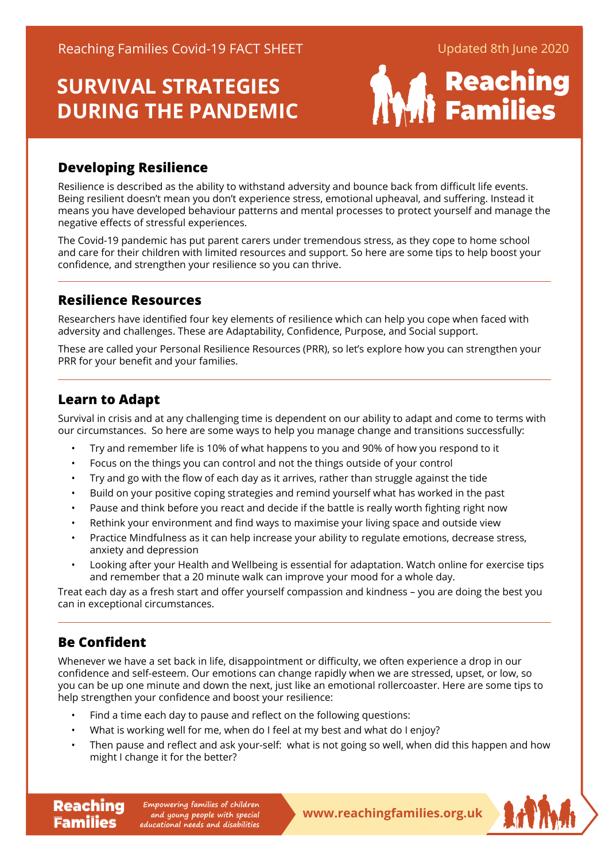

## **Developing Resilience**

Resilience is described as the ability to withstand adversity and bounce back from difficult life events. Being resilient doesn't mean you don't experience stress, emotional upheaval, and suffering. Instead it means you have developed behaviour patterns and mental processes to protect yourself and manage the negative effects of stressful experiences.

The Covid-19 pandemic has put parent carers under tremendous stress, as they cope to home school and care for their children with limited resources and support. So here are some tips to help boost your confidence, and strengthen your resilience so you can thrive.

## **Resilience Resources**

Researchers have identified four key elements of resilience which can help you cope when faced with adversity and challenges. These are Adaptability, Confidence, Purpose, and Social support.

These are called your Personal Resilience Resources (PRR), so let's explore how you can strengthen your PRR for your benefit and your families.

## **Learn to Adapt**

Survival in crisis and at any challenging time is dependent on our ability to adapt and come to terms with our circumstances. So here are some ways to help you manage change and transitions successfully:

- Try and remember life is 10% of what happens to you and 90% of how you respond to it
- Focus on the things you can control and not the things outside of your control
- Try and go with the flow of each day as it arrives, rather than struggle against the tide
- Build on your positive coping strategies and remind yourself what has worked in the past
- Pause and think before you react and decide if the battle is really worth fighting right now
- Rethink your environment and find ways to maximise your living space and outside view
- Practice Mindfulness as it can help increase your ability to regulate emotions, decrease stress, anxiety and depression
- Looking after your Health and Wellbeing is essential for adaptation. Watch online for exercise tips and remember that a 20 minute walk can improve your mood for a whole day.

Treat each day as a fresh start and offer yourself compassion and kindness – you are doing the best you can in exceptional circumstances.

## **Be Confident**

**Families** 

Whenever we have a set back in life, disappointment or difficulty, we often experience a drop in our confidence and self-esteem. Our emotions can change rapidly when we are stressed, upset, or low, so you can be up one minute and down the next, just like an emotional rollercoaster. Here are some tips to help strengthen your confidence and boost your resilience:

- Find a time each day to pause and reflect on the following questions:
- What is working well for me, when do I feel at my best and what do I enjoy?
- Then pause and reflect and ask your-self: what is not going so well, when did this happen and how might I change it for the better?

**Reaching** Empowering families of children<br> **Reaching Empowering people with special**<br> **WWW.reachingfamilies.org.uk Empowering families of children and young people with special educational needs and disabilities**

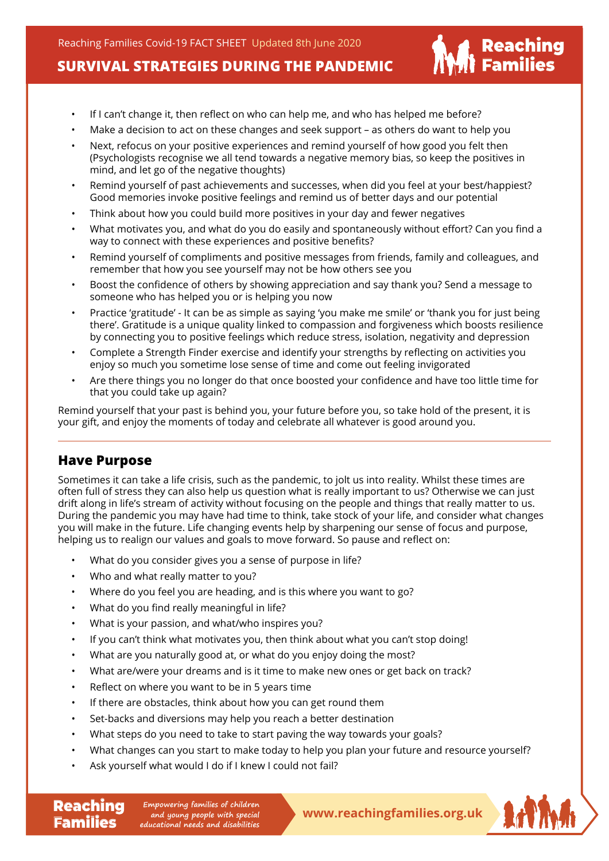- If I can't change it, then reflect on who can help me, and who has helped me before?
- Make a decision to act on these changes and seek support as others do want to help you
- Next, refocus on your positive experiences and remind yourself of how good you felt then (Psychologists recognise we all tend towards a negative memory bias, so keep the positives in mind, and let go of the negative thoughts)
- Remind yourself of past achievements and successes, when did you feel at your best/happiest? Good memories invoke positive feelings and remind us of better days and our potential
- Think about how you could build more positives in your day and fewer negatives
- What motivates you, and what do you do easily and spontaneously without effort? Can you find a way to connect with these experiences and positive benefits?
- Remind yourself of compliments and positive messages from friends, family and colleagues, and remember that how you see yourself may not be how others see you
- Boost the confidence of others by showing appreciation and say thank you? Send a message to someone who has helped you or is helping you now
- Practice 'gratitude' It can be as simple as saying 'you make me smile' or 'thank you for just being there'. Gratitude is a unique quality linked to compassion and forgiveness which boosts resilience by connecting you to positive feelings which reduce stress, isolation, negativity and depression
- Complete a Strength Finder exercise and identify your strengths by reflecting on activities you enjoy so much you sometime lose sense of time and come out feeling invigorated
- Are there things you no longer do that once boosted your confidence and have too little time for that you could take up again?

Remind yourself that your past is behind you, your future before you, so take hold of the present, it is your gift, and enjoy the moments of today and celebrate all whatever is good around you.

#### **Have Purpose**

**Families** 

Sometimes it can take a life crisis, such as the pandemic, to jolt us into reality. Whilst these times are often full of stress they can also help us question what is really important to us? Otherwise we can just drift along in life's stream of activity without focusing on the people and things that really matter to us. During the pandemic you may have had time to think, take stock of your life, and consider what changes you will make in the future. Life changing events help by sharpening our sense of focus and purpose, helping us to realign our values and goals to move forward. So pause and reflect on:

- What do you consider gives you a sense of purpose in life?
- Who and what really matter to you?
- Where do you feel you are heading, and is this where you want to go?
- What do you find really meaningful in life?
- What is your passion, and what/who inspires you?
- If you can't think what motivates you, then think about what you can't stop doing!
- What are you naturally good at, or what do you enjoy doing the most?
- What are/were your dreams and is it time to make new ones or get back on track?
- Reflect on where you want to be in 5 years time
- If there are obstacles, think about how you can get round them
- Set-backs and diversions may help you reach a better destination
- What steps do you need to take to start paving the way towards your goals?
- What changes can you start to make today to help you plan your future and resource yourself?
- Ask yourself what would I do if I knew I could not fail?

**Reaching** Empowering families of children<br> **Reaching Empone and young people with special**<br> **WWW.reachingfamilies.org.uk Empowering families of children and young people with special educational needs and disabilities**



| Reaching<br>| Families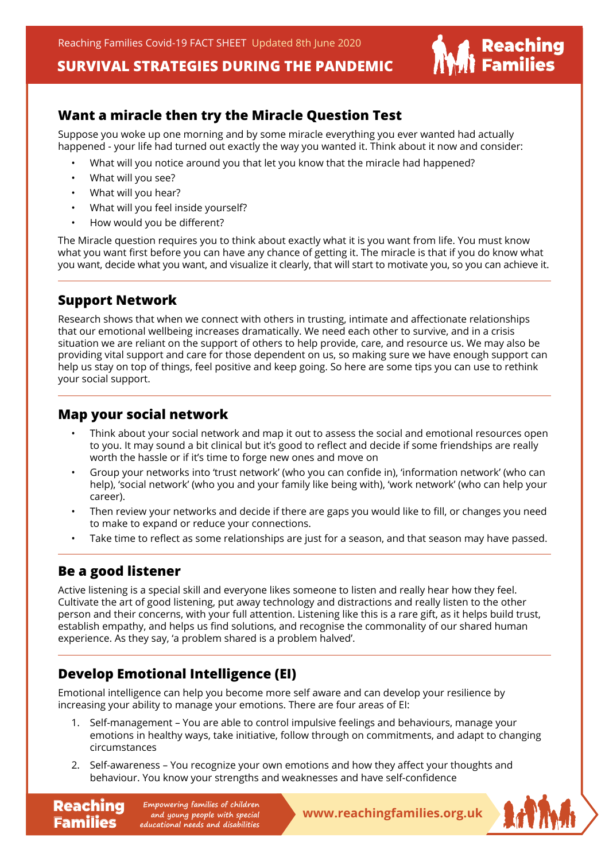

### **Want a miracle then try the Miracle Question Test**

Suppose you woke up one morning and by some miracle everything you ever wanted had actually happened - your life had turned out exactly the way you wanted it. Think about it now and consider:

- What will you notice around you that let you know that the miracle had happened?
- What will you see?
- What will you hear?
- What will you feel inside yourself?
- How would you be different?

The Miracle question requires you to think about exactly what it is you want from life. You must know what you want first before you can have any chance of getting it. The miracle is that if you do know what you want, decide what you want, and visualize it clearly, that will start to motivate you, so you can achieve it.

#### **Support Network**

Research shows that when we connect with others in trusting, intimate and affectionate relationships that our emotional wellbeing increases dramatically. We need each other to survive, and in a crisis situation we are reliant on the support of others to help provide, care, and resource us. We may also be providing vital support and care for those dependent on us, so making sure we have enough support can help us stay on top of things, feel positive and keep going. So here are some tips you can use to rethink your social support.

#### **Map your social network**

- Think about your social network and map it out to assess the social and emotional resources open to you. It may sound a bit clinical but it's good to reflect and decide if some friendships are really worth the hassle or if it's time to forge new ones and move on
- Group your networks into 'trust network' (who you can confide in), 'information network' (who can help), 'social network' (who you and your family like being with), 'work network' (who can help your career).
- Then review your networks and decide if there are gaps you would like to fill, or changes you need to make to expand or reduce your connections.
- Take time to reflect as some relationships are just for a season, and that season may have passed.

## **Be a good listener**

Families

Active listening is a special skill and everyone likes someone to listen and really hear how they feel. Cultivate the art of good listening, put away technology and distractions and really listen to the other person and their concerns, with your full attention. Listening like this is a rare gift, as it helps build trust, establish empathy, and helps us find solutions, and recognise the commonality of our shared human experience. As they say, 'a problem shared is a problem halved'.

## **Develop Emotional Intelligence (EI)**

Emotional intelligence can help you become more self aware and can develop your resilience by increasing your ability to manage your emotions. There are four areas of EI:

- 1. Self-management You are able to control impulsive feelings and behaviours, manage your emotions in healthy ways, take initiative, follow through on commitments, and adapt to changing circumstances
- 2. Self-awareness You recognize your own emotions and how they affect your thoughts and behaviour. You know your strengths and weaknesses and have self-confidence

**Reaching** Empowering families of children<br> **Reaching Empone and young people with special**<br> **WWW.reachingfamilies.org.uk Empowering families of children and young people with special educational needs and disabilities**